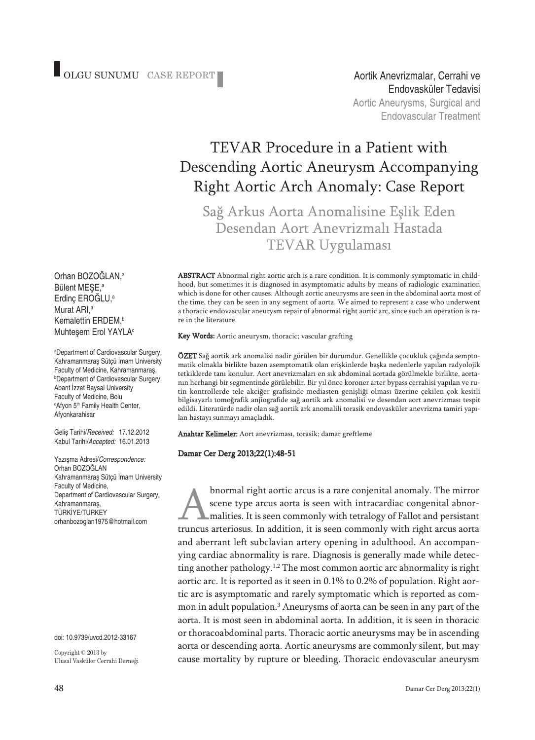Endovasküler TedavisiAortic Aneurysms, Surgical and **Endovascular Treatment** 

# TEVAR Procedure in a Patient with Descending Aortic Aneurysm Accompanying Right Aortic Arch Anomaly: Case Report

Sağ Arkus Aorta Anomalisine Eslik Eden Desendan Aort Anevrizmalı Hastada **TEVAR Uygulaması** 

ABSTRACT Abnormal right aortic arch is a rare condition. It is commonly symptomatic in childhood, but sometimes it is diagnosed in asymptomatic adults by means of radiologic examination which is done for other causes. Although aortic aneurysms are seen in the abdominal aorta most of the time, they can be seen in any segment of aorta. We aimed to represent a case who underwent a thoracic endovascular aneurysm repair of abnormal right aortic arc, since such an operation is rare in the literature.

Key Words: Aortic aneurysm, thoracic; vascular grafting

ÖZET Sağ aortik ark anomalisi nadir görülen bir durumdur. Genellikle çocukluk çağında semptomatik olmakla birlikte bazen asemptomatik olan erişkinlerde başka nedenlerle yapılan radyolojik tetkiklerde tanı konulur. Aort anevrizmaları en sık abdominal aortada görülmekle birlikte, aortanın herhangi bir segmentinde görülebilir. Bir yıl önce koroner arter bypass cerrahisi yapılan ve rutin kontrollerde tele akciğer grafisinde mediasten genişliği olması üzerine çekilen çok kesitli bilgisayarlı tomoğrafik anjiografide sağ aortik ark anomalisi ve desendan aort anevrizması tespit edildi. Literatürde nadir olan sağ aortik ark anomalili torasik endovasküler anevrizma tamiri yapılan hastayı sunmayı amaçladık.

Anahtar Kelimeler: Aort anevrizması, torasik; damar greftleme

### Damar Cer Derg 2013;22(1):48-51

bnormal right aortic arcus is a rare conjenital anomaly. The mirror scene type arcus aorta is seen with intracardiac congenital abnormalities. It is seen commonly with tetralogy of Fallot and persistant truncus arteriosus. In addition, it is seen commonly with right arcus aorta and aberrant left subclavian artery opening in adulthood. An accompanying cardiac abnormality is rare. Diagnosis is generally made while detecting another pathology.<sup>1,2</sup> The most common aortic arc abnormality is right aortic arc. It is reported as it seen in 0.1% to 0.2% of population. Right aortic arc is asymptomatic and rarely symptomatic which is reported as common in adult population. <sup>3</sup> Aneurysms of aorta can be seen in any part of the aorta. It is most seen in abdominal aorta. In addition, it is seen in thoracic or thoracoabdominal parts. Thoracic aortic aneurysms may be in ascending aorta or descending aorta. Aortic aneurysms are commonly silent, but may cause mortality by rupture or bleeding. Thoracic endovascular aneurysm

Orhan BOZOĞLAN, a Bülent MEŞE, a Erdinç EROĞLU, a Murat ARI, a Kemalettin ERDEM, b Muhteşem Erol YAYLA<sup>c</sup>

a Department of Cardiovascular Surgery, Kahramanmaraş Sütçü İmam University Faculty of Medicine, Kahramanmaraş, b Department of Cardiovascular Surgery, Abant İzzet Baysal University Faculty of Medicine, Bolu <sup>c</sup>Afyon 5<sup>th</sup> Family Health Center, Afyonkarahisar

Geliş Tarihi/*Received:* 17.12.2012 Kabul Tarihi/*Accepted:* 16.01.2013

Yazışma Adresi/*Correspondence:* Orhan BOZOĞLAN Kahramanmaraş Sütçü İmam University Faculty of Medicine, Department of Cardiovascular Surgery, Kahramanmaraş, TÜRKİYE/TURKEY orhanbozoglan1975@hotmail.com

doi: 10.9739/uvcd.2012-33167

Copyright © 2013 by Ulusal Vasküler Cerrahi Derneği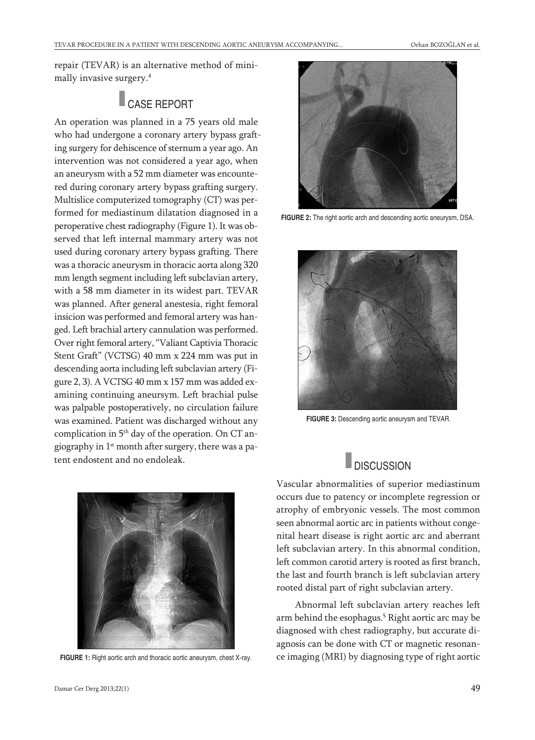repair (TEVAR) is an alternative method of minimally invasive surgery. 4

CASE REPORT

An operation was planned in a 75 years old male who had undergone a coronary artery bypass grafting surgery for dehiscence of sternum a year ago. An intervention was not considered a year ago, when an aneurysm with a 52 mm diameter was encountered during coronary artery bypass grafting surgery. Multislice computerized tomography (CT) was performed for mediastinum dilatation diagnosed in a peroperative chest radiography (Figure 1). It was observed that left internal mammary artery was not used during coronary artery bypass grafting. There was a thoracic aneurysm in thoracic aorta along 320 mm length segment including left subclavian artery, with a 58 mm diameter in its widest part. TEVAR was planned. After general anestesia, right femoral insicion was performed and femoral artery was hanged. Left brachial artery cannulation was performed. Over right femoral artery, "Valiant Captivia Thoracic Stent Graft" (VCTSG) 40 mm x 224 mm was put in descending aorta including left subclavian artery (Figure 2, 3). A VCTSG 40 mm x 157 mm was added examining continuing aneursym. Left brachial pulse was palpable postoperatively, no circulation failure was examined. Patient was discharged without any complication in 5<sup>th</sup> day of the operation. On CT angiography in 1<sup>st</sup> month after surgery, there was a patent endostent and no endoleak.





**FIGURE 2:** The right aortic arch and descending aortic aneurysm, DSA.



**FIGURE 3:** Descending aortic aneurysm and TEVAR.

Vascular abnormalities of superior mediastinum occurs due to patency or incomplete regression or atrophy of embryonic vessels. The most common seen abnormal aortic arc in patients without congenital heart disease is right aortic arc and aberrant left subclavian artery. In this abnormal condition, left common carotid artery is rooted as first branch, the last and fourth branch is left subclavian artery rooted distal part of right subclavian artery.

Abnormal left subclavian artery reaches left arm behind the esophagus. <sup>5</sup> Right aortic arc may be diagnosed with chest radiography, but accurate diagnosis can be done with CT or magnetic resonan-FIGURE 1: Right aortic arch and thoracic aortic aneurysm, chest X-ray. ce imaging (MRI) by diagnosing type of right aortic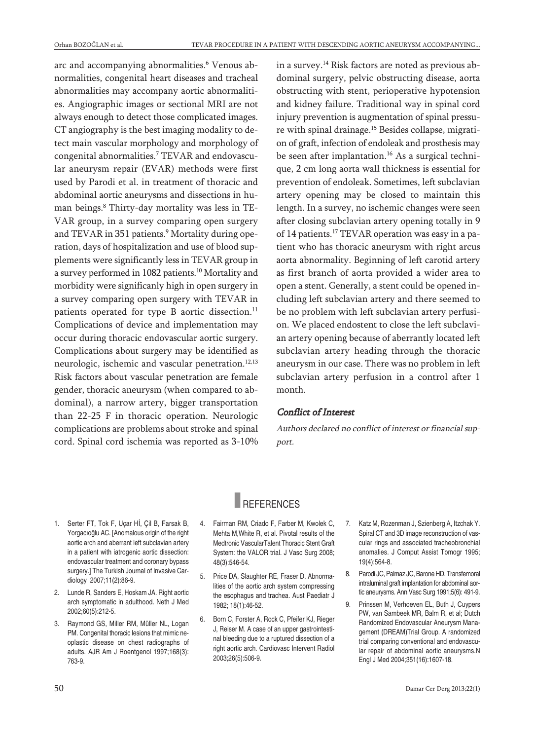arc and accompanying abnormalities. <sup>6</sup> Venous abnormalities, congenital heart diseases and tracheal abnormalities may accompany aortic abnormalities. Angiographic images or sectional MRI are not always enough to detect those complicated images. CT angiography is the best imaging modality to detect main vascular morphology and morphology of congenital abnormalities. <sup>7</sup> TEVAR and endovascular aneurysm repair (EVAR) methods were first used by Parodi et al. in treatment of thoracic and abdominal aortic aneurysms and dissections in human beings. <sup>8</sup> Thirty-day mortality was less in TE-VAR group, in a survey comparing open surgery and TEVAR in 351 patients. <sup>9</sup> Mortality during operation, days of hospitalization and use of blood supplements were significantly less in TEVAR group in a survey performed in 1082 patients. <sup>10</sup> Mortality and morbidity were significanly high in open surgery in a survey comparing open surgery with TEVAR in patients operated for type B aortic dissection. 11 Complications of device and implementation may occur during thoracic endovascular aortic surgery. Complications about surgery may be identified as neurologic, ischemic and vascular penetration.<sup>12,13</sup> Risk factors about vascular penetration are female gender, thoracic aneurysm (when compared to abdominal), a narrow artery, bigger transportation than 22-25 F in thoracic operation. Neurologic complications are problems about stroke and spinal cord. Spinal cord ischemia was reported as 3-10%

in a survey. <sup>14</sup> Risk factors are noted as previous abdominal surgery, pelvic obstructing disease, aorta obstructing with stent, perioperative hypotension and kidney failure. Traditional way in spinal cord injury prevention is augmentation of spinal pressure with spinal drainage. <sup>15</sup> Besides collapse, migration of graft, infection of endoleak and prosthesis may be seen after implantation. <sup>16</sup> As a surgical technique, 2 cm long aorta wall thickness is essential for prevention of endoleak. Sometimes, left subclavian artery opening may be closed to maintain this length. In a survey, no ischemic changes were seen after closing subclavian artery opening totally in 9 of 14 patients. <sup>17</sup> TEVAR operation was easy in a patient who has thoracic aneurysm with right arcus aorta abnormality. Beginning of left carotid artery as first branch of aorta provided a wider area to open a stent. Generally, a stent could be opened including left subclavian artery and there seemed to be no problem with left subclavian artery perfusion. We placed endostent to close the left subclavian artery opening because of aberrantly located left subclavian artery heading through the thoracic aneurysm in our case. There was no problem in left subclavian artery perfusion in a control after 1 month.

### Conflict of Interest

Authors declared no conflict of interest or financial support.

## **REFERENCES**

- 1. Serter FT, Tok F, Uçar Hİ, Çil B, Farsak B, Yorgacıoğlu AC. [Anomalous origin of the right aortic arch and aberrant left subclavian artery in <sup>a</sup> patient with iatrogenic aortic dissection: endovascular treatment and coronary bypass surgery.] The Turkish Journal of Invasive Cardiology 2007;11(2):86-9.
- 2. Lunde R, Sanders E, Hoskam JA. Right aortic arch symptomatic in adulthood. Neth J Med 2002;60(5):212-5.
- 3. Raymond GS, Miller RM, Müller NL, Logan PM. Congenital thoracic lesions that mimic neoplastic disease on chest radiographs of adults. AJR Am J Roentgenol 1997;168(3): 763-9.
- 4. Fairman RM, Criado F, Farber M, Kwolek C, Mehta M,White R, et al. Pivotal results of the Medtronic VascularTalent Thoracic Stent Graft System: the VALOR trial. J Vasc Surg 2008; 48(3):546-54.
- 5. Price DA, Slaughter RE, Fraser D. Abnormalities of the aortic arch system compressing the esophagus and trachea. Aust Paediatr J 1982; 18(1):46-52.
- 6. Born C, Forster A, Rock C, Pfeifer KJ, Rieger J, Reiser M. A case of an upper gastrointestinal bleeding due to <sup>a</sup> ruptured dissection of <sup>a</sup> right aortic arch. Cardiovasc Intervent Radiol 2003;26(5):506-9.
- 7. Katz M, Rozenman J, Szienberg A, Itzchak Y. Spiral CT and 3D image reconstruction of vascular rings and associated tracheobronchial anomalies. J Comput Assist Tomogr 1995; 19(4):564-8.
- 8. Parodi JC, Palmaz JC, Barone HD. Transfemoral intraluminal graft implantation for abdominal aortic aneurysms. Ann Vasc Surg 1991;5(6): 491-9.
- 9. Prinssen M, Verhoeven EL, Buth J, Cuypers PW, van Sambeek MR, Balm R, et al; Dutch Randomized Endovascular Aneurysm Management (DREAM)Trial Group. A randomized trial comparing conventional and endovascular repair of abdominal aortic aneurysms.N Engl J Med 2004;351(16):1607-18.